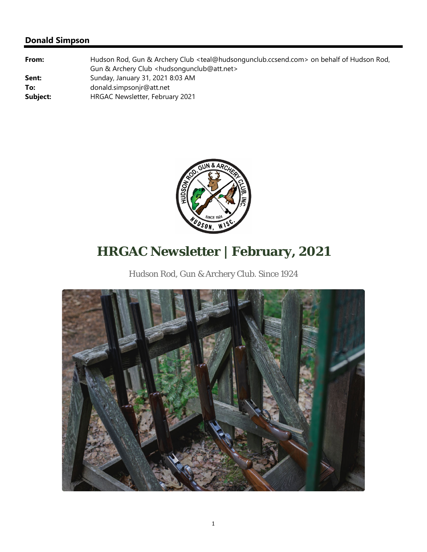

# **HRGAC Newsletter | February, 2021**

Hudson Rod, Gun & Archery Club. Since 1924

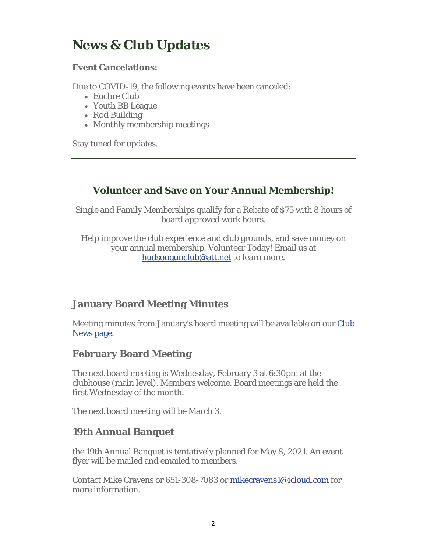## **News & Club Updates**

#### **Event Cancelations:**

Due to COVID-19, the following events have been canceled:

- Euchre Club
- Youth BB League
- Rod Building
- Monthly membership meetings

Stay tuned for updates.

### **Volunteer and Save on Your Annual Membership!**

Single and Family Memberships qualify for a Rebate of \$75 with 8 hours of board approved work hours.

Help improve the club experience and club grounds, and save money on your annual membership. Volunteer Today! Email us at hudsongunclub@att.net to learn more.

#### **January Board Meeting Minutes**

Meeting minutes from January's board meeting will be available on our Club News page.

### **February Board Meeting**

The next board meeting is Wednesday, February 3 at 6:30pm at the clubhouse (main level). Members welcome. Board meetings are held the first Wednesday of the month.

The next board meeting will be March 3.

#### **19th Annual Banquet**

the 19th Annual Banquet is tentatively planned for May 8, 2021. An event flyer will be mailed and emailed to members.

Contact Mike Cravens or 651-308-7083 or mikecravens1@icloud.com for more information.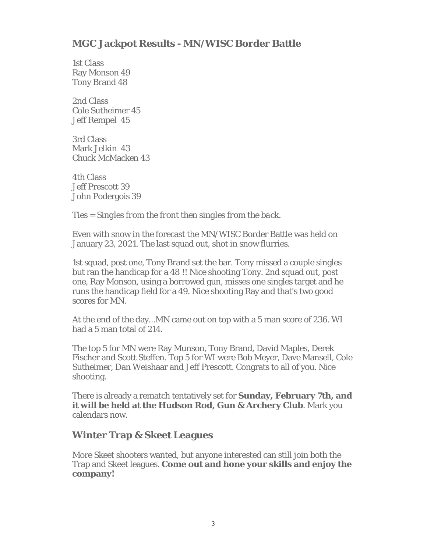### **MGC Jackpot Results - MN/WISC Border Battle**

1st Class Ray Monson 49 Tony Brand 48

2nd Class Cole Sutheimer 45 Jeff Rempel 45

3rd Class Mark Jelkin 43 Chuck McMacken 43

4th Class Jeff Prescott 39 John Podergois 39

*Ties = Singles from the front then singles from the back.*

Even with snow in the forecast the MN/WISC Border Battle was held on January 23, 2021. The last squad out, shot in snow flurries.

1st squad, post one, Tony Brand set the bar. Tony missed a couple singles but ran the handicap for a 48 !! Nice shooting Tony. 2nd squad out, post one, Ray Monson, using a borrowed gun, misses one singles target and he runs the handicap field for a 49. Nice shooting Ray and that's two good scores for MN.

At the end of the day...MN came out on top with a 5 man score of 236. WI had a 5 man total of 214.

The top 5 for MN were Ray Munson, Tony Brand, David Maples, Derek Fischer and Scott Steffen. Top 5 for WI were Bob Meyer, Dave Mansell, Cole Sutheimer, Dan Weishaar and Jeff Prescott. Congrats to all of you. Nice shooting.

There is already a rematch tentatively set for **Sunday, February 7th, and it will be held at the Hudson Rod, Gun & Archery Club**. Mark you calendars now.

#### **Winter Trap & Skeet Leagues**

More Skeet shooters wanted, but anyone interested can still join both the Trap and Skeet leagues. **Come out and hone your skills and enjoy the company!**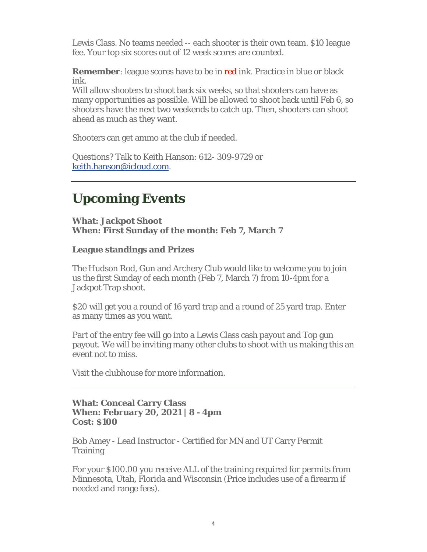Lewis Class. No teams needed -- each shooter is their own team. \$10 league fee. Your top six scores out of 12 week scores are counted.

**Remember**: league scores have to be in red ink. Practice in blue or black ink.

Will allow shooters to shoot back six weeks, so that shooters can have as many opportunities as possible. Will be allowed to shoot back until Feb 6, so shooters have the next two weekends to catch up. Then, shooters can shoot ahead as much as they want.

Shooters can get ammo at the club if needed.

Questions? Talk to Keith Hanson: 612- 309-9729 or keith.hanson@icloud.com.

# **Upcoming Events**

**What: Jackpot Shoot When: First Sunday of the month: Feb 7, March 7**

#### **League standings and Prizes**

The Hudson Rod, Gun and Archery Club would like to welcome you to join us the first Sunday of each month (Feb 7, March 7) from 10-4pm for a Jackpot Trap shoot.

\$20 will get you a round of 16 yard trap and a round of 25 yard trap. Enter as many times as you want.

Part of the entry fee will go into a Lewis Class cash payout and Top gun payout. We will be inviting many other clubs to shoot with us making this an event not to miss.

Visit the clubhouse for more information.

#### **What: Conceal Carry Class When: February 20, 2021 | 8 - 4pm Cost: \$100**

Bob Amey - Lead Instructor - Certified for MN and UT Carry Permit **Training** 

For your \$100.00 you receive ALL of the training required for permits from Minnesota, Utah, Florida and Wisconsin (Price includes use of a firearm if needed and range fees).